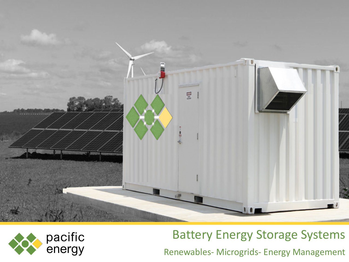



# Battery Energy Storage Systems

Renewables- Microgrids- Energy Management